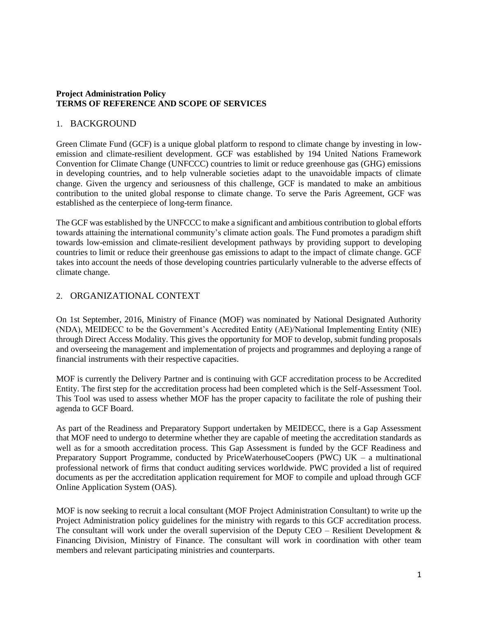#### **Project Administration Policy TERMS OF REFERENCE AND SCOPE OF SERVICES**

### 1. BACKGROUND

Green Climate Fund (GCF) is a unique global platform to respond to climate change by investing in lowemission and climate-resilient development. GCF was established by 194 United Nations Framework Convention for Climate Change (UNFCCC) countries to limit or reduce greenhouse gas (GHG) emissions in developing countries, and to help vulnerable societies adapt to the unavoidable impacts of climate change. Given the urgency and seriousness of this challenge, GCF is mandated to make an ambitious contribution to the united global response to climate change. To serve the Paris Agreement, GCF was established as the centerpiece of long-term finance.

The GCF was established by the UNFCCC to make a significant and ambitious contribution to global efforts towards attaining the international community's climate action goals. The Fund promotes a paradigm shift towards low-emission and climate-resilient development pathways by providing support to developing countries to limit or reduce their greenhouse gas emissions to adapt to the impact of climate change. GCF takes into account the needs of those developing countries particularly vulnerable to the adverse effects of climate change.

## 2. ORGANIZATIONAL CONTEXT

On 1st September, 2016, Ministry of Finance (MOF) was nominated by National Designated Authority (NDA), MEIDECC to be the Government's Accredited Entity (AE)/National Implementing Entity (NIE) through Direct Access Modality. This gives the opportunity for MOF to develop, submit funding proposals and overseeing the management and implementation of projects and programmes and deploying a range of financial instruments with their respective capacities.

MOF is currently the Delivery Partner and is continuing with GCF accreditation process to be Accredited Entity. The first step for the accreditation process had been completed which is the Self-Assessment Tool. This Tool was used to assess whether MOF has the proper capacity to facilitate the role of pushing their agenda to GCF Board.

As part of the Readiness and Preparatory Support undertaken by MEIDECC, there is a Gap Assessment that MOF need to undergo to determine whether they are capable of meeting the accreditation standards as well as for a smooth accreditation process. This Gap Assessment is funded by the GCF Readiness and Preparatory Support Programme, conducted by PriceWaterhouseCoopers (PWC) UK – a multinational professional network of firms that conduct auditing services worldwide. PWC provided a list of required documents as per the accreditation application requirement for MOF to compile and upload through GCF Online Application System (OAS).

MOF is now seeking to recruit a local consultant (MOF Project Administration Consultant) to write up the Project Administration policy guidelines for the ministry with regards to this GCF accreditation process. The consultant will work under the overall supervision of the Deputy CEO – Resilient Development & Financing Division, Ministry of Finance. The consultant will work in coordination with other team members and relevant participating ministries and counterparts.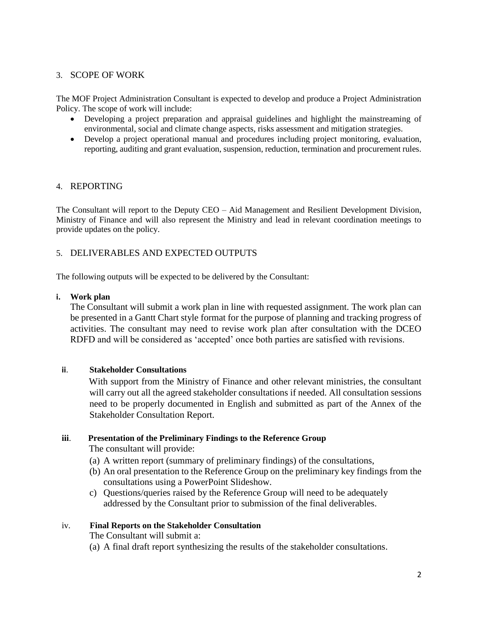## 3. SCOPE OF WORK

The MOF Project Administration Consultant is expected to develop and produce a Project Administration Policy. The scope of work will include:

- Developing a project preparation and appraisal guidelines and highlight the mainstreaming of environmental, social and climate change aspects, risks assessment and mitigation strategies.
- Develop a project operational manual and procedures including project monitoring, evaluation, reporting, auditing and grant evaluation, suspension, reduction, termination and procurement rules.

### 4. REPORTING

The Consultant will report to the Deputy CEO – Aid Management and Resilient Development Division, Ministry of Finance and will also represent the Ministry and lead in relevant coordination meetings to provide updates on the policy.

## 5. DELIVERABLES AND EXPECTED OUTPUTS

The following outputs will be expected to be delivered by the Consultant:

#### **i. Work plan**

The Consultant will submit a work plan in line with requested assignment. The work plan can be presented in a Gantt Chart style format for the purpose of planning and tracking progress of activities. The consultant may need to revise work plan after consultation with the DCEO RDFD and will be considered as 'accepted' once both parties are satisfied with revisions.

### **ii**. **Stakeholder Consultations**

With support from the Ministry of Finance and other relevant ministries, the consultant will carry out all the agreed stakeholder consultations if needed. All consultation sessions need to be properly documented in English and submitted as part of the Annex of the Stakeholder Consultation Report.

### **iii**. **Presentation of the Preliminary Findings to the Reference Group**

The consultant will provide:

- (a) A written report (summary of preliminary findings) of the consultations,
- (b) An oral presentation to the Reference Group on the preliminary key findings from the consultations using a PowerPoint Slideshow.
- c) Questions/queries raised by the Reference Group will need to be adequately addressed by the Consultant prior to submission of the final deliverables.

#### iv. **Final Reports on the Stakeholder Consultation**

The Consultant will submit a:

(a) A final draft report synthesizing the results of the stakeholder consultations.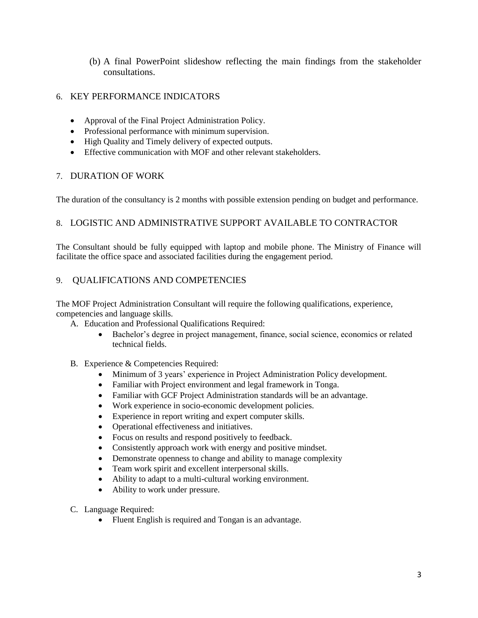(b) A final PowerPoint slideshow reflecting the main findings from the stakeholder consultations.

## 6. KEY PERFORMANCE INDICATORS

- Approval of the Final Project Administration Policy.
- Professional performance with minimum supervision.
- High Quality and Timely delivery of expected outputs.
- Effective communication with MOF and other relevant stakeholders.

## 7. DURATION OF WORK

The duration of the consultancy is 2 months with possible extension pending on budget and performance.

# 8. LOGISTIC AND ADMINISTRATIVE SUPPORT AVAILABLE TO CONTRACTOR

The Consultant should be fully equipped with laptop and mobile phone. The Ministry of Finance will facilitate the office space and associated facilities during the engagement period.

## 9. QUALIFICATIONS AND COMPETENCIES

The MOF Project Administration Consultant will require the following qualifications, experience, competencies and language skills.

- A. Education and Professional Qualifications Required:
	- Bachelor's degree in project management, finance, social science, economics or related technical fields.
- B. Experience & Competencies Required:
	- Minimum of 3 years' experience in Project Administration Policy development.
	- Familiar with Project environment and legal framework in Tonga.
	- Familiar with GCF Project Administration standards will be an advantage.
	- Work experience in socio-economic development policies.
	- Experience in report writing and expert computer skills.
	- Operational effectiveness and initiatives.
	- Focus on results and respond positively to feedback.
	- Consistently approach work with energy and positive mindset.
	- Demonstrate openness to change and ability to manage complexity
	- Team work spirit and excellent interpersonal skills.
	- Ability to adapt to a multi-cultural working environment.
	- Ability to work under pressure.
- C. Language Required:
	- Fluent English is required and Tongan is an advantage.